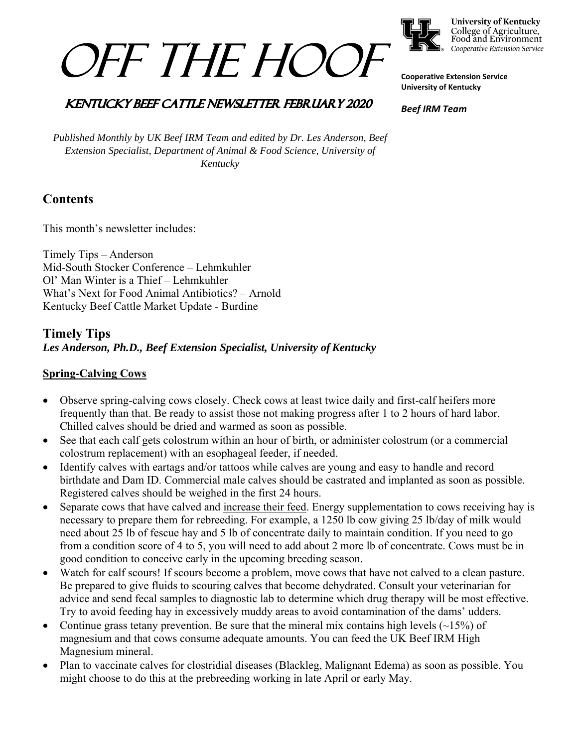



**University of Kentucky** College of Agriculture,<br>Food and Environment Cooperative Extension Service

**Cooperative Extension Service University of Kentucky** 

#### *Beef IRM Team*

**KENTUCKY BEEF CATTLE NEWSLETTER FEBRUARY 2020** 

*Published Monthly by UK Beef IRM Team and edited by Dr. Les Anderson, Beef Extension Specialist, Department of Animal & Food Science, University of Kentucky* 

# **Contents**

This month's newsletter includes:

Timely Tips – Anderson Mid-South Stocker Conference – Lehmkuhler Ol' Man Winter is a Thief – Lehmkuhler What's Next for Food Animal Antibiotics? – Arnold Kentucky Beef Cattle Market Update - Burdine

# **Timely Tips** *Les Anderson, Ph.D., Beef Extension Specialist, University of Kentucky*

## **Spring-Calving Cows**

- Observe spring-calving cows closely. Check cows at least twice daily and first-calf heifers more frequently than that. Be ready to assist those not making progress after 1 to 2 hours of hard labor. Chilled calves should be dried and warmed as soon as possible.
- See that each calf gets colostrum within an hour of birth, or administer colostrum (or a commercial colostrum replacement) with an esophageal feeder, if needed.
- Identify calves with eartags and/or tattoos while calves are young and easy to handle and record birthdate and Dam ID. Commercial male calves should be castrated and implanted as soon as possible. Registered calves should be weighed in the first 24 hours.
- Separate cows that have calved and increase their feed. Energy supplementation to cows receiving hay is necessary to prepare them for rebreeding. For example, a 1250 lb cow giving 25 lb/day of milk would need about 25 lb of fescue hay and 5 lb of concentrate daily to maintain condition. If you need to go from a condition score of 4 to 5, you will need to add about 2 more lb of concentrate. Cows must be in good condition to conceive early in the upcoming breeding season.
- Watch for calf scours! If scours become a problem, move cows that have not calved to a clean pasture. Be prepared to give fluids to scouring calves that become dehydrated. Consult your veterinarian for advice and send fecal samples to diagnostic lab to determine which drug therapy will be most effective. Try to avoid feeding hay in excessively muddy areas to avoid contamination of the dams' udders.
- Continue grass tetany prevention. Be sure that the mineral mix contains high levels  $(\sim 15\%)$  of magnesium and that cows consume adequate amounts. You can feed the UK Beef IRM High Magnesium mineral.
- Plan to vaccinate calves for clostridial diseases (Blackleg, Malignant Edema) as soon as possible. You might choose to do this at the prebreeding working in late April or early May.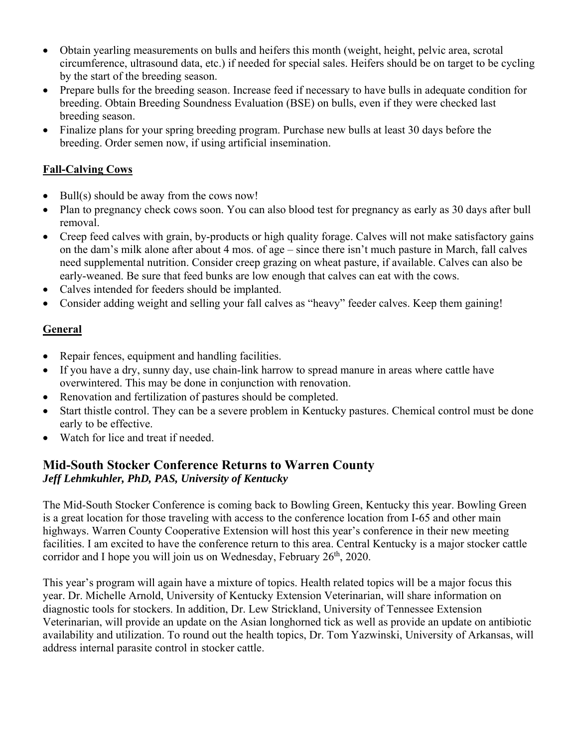- Obtain yearling measurements on bulls and heifers this month (weight, height, pelvic area, scrotal circumference, ultrasound data, etc.) if needed for special sales. Heifers should be on target to be cycling by the start of the breeding season.
- Prepare bulls for the breeding season. Increase feed if necessary to have bulls in adequate condition for breeding. Obtain Breeding Soundness Evaluation (BSE) on bulls, even if they were checked last breeding season.
- Finalize plans for your spring breeding program. Purchase new bulls at least 30 days before the breeding. Order semen now, if using artificial insemination.

### **Fall-Calving Cows**

- $\bullet$  Bull(s) should be away from the cows now!
- Plan to pregnancy check cows soon. You can also blood test for pregnancy as early as 30 days after bull removal.
- Creep feed calves with grain, by-products or high quality forage. Calves will not make satisfactory gains on the dam's milk alone after about 4 mos. of age – since there isn't much pasture in March, fall calves need supplemental nutrition. Consider creep grazing on wheat pasture, if available. Calves can also be early-weaned. Be sure that feed bunks are low enough that calves can eat with the cows.
- Calves intended for feeders should be implanted.
- Consider adding weight and selling your fall calves as "heavy" feeder calves. Keep them gaining!

### **General**

- Repair fences, equipment and handling facilities.
- If you have a dry, sunny day, use chain-link harrow to spread manure in areas where cattle have overwintered. This may be done in conjunction with renovation.
- Renovation and fertilization of pastures should be completed.
- Start thistle control. They can be a severe problem in Kentucky pastures. Chemical control must be done early to be effective.
- Watch for lice and treat if needed.

## **Mid-South Stocker Conference Returns to Warren County**  *Jeff Lehmkuhler, PhD, PAS, University of Kentucky*

The Mid-South Stocker Conference is coming back to Bowling Green, Kentucky this year. Bowling Green is a great location for those traveling with access to the conference location from I-65 and other main highways. Warren County Cooperative Extension will host this year's conference in their new meeting facilities. I am excited to have the conference return to this area. Central Kentucky is a major stocker cattle corridor and I hope you will join us on Wednesday, February  $26<sup>th</sup>$ , 2020.

This year's program will again have a mixture of topics. Health related topics will be a major focus this year. Dr. Michelle Arnold, University of Kentucky Extension Veterinarian, will share information on diagnostic tools for stockers. In addition, Dr. Lew Strickland, University of Tennessee Extension Veterinarian, will provide an update on the Asian longhorned tick as well as provide an update on antibiotic availability and utilization. To round out the health topics, Dr. Tom Yazwinski, University of Arkansas, will address internal parasite control in stocker cattle.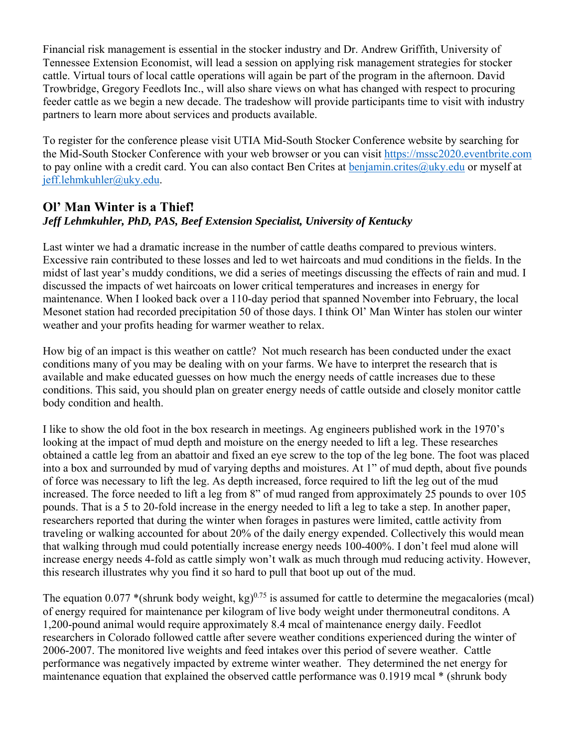Financial risk management is essential in the stocker industry and Dr. Andrew Griffith, University of Tennessee Extension Economist, will lead a session on applying risk management strategies for stocker cattle. Virtual tours of local cattle operations will again be part of the program in the afternoon. David Trowbridge, Gregory Feedlots Inc., will also share views on what has changed with respect to procuring feeder cattle as we begin a new decade. The tradeshow will provide participants time to visit with industry partners to learn more about services and products available.

To register for the conference please visit UTIA Mid-South Stocker Conference website by searching for the Mid-South Stocker Conference with your web browser or you can visit https://mssc2020.eventbrite.com to pay online with a credit card. You can also contact Ben Crites at benjamin.crites@uky.edu or myself at jeff.lehmkuhler@uky.edu.

## **Ol' Man Winter is a Thief!**  *Jeff Lehmkuhler, PhD, PAS, Beef Extension Specialist, University of Kentucky*

Last winter we had a dramatic increase in the number of cattle deaths compared to previous winters. Excessive rain contributed to these losses and led to wet haircoats and mud conditions in the fields. In the midst of last year's muddy conditions, we did a series of meetings discussing the effects of rain and mud. I discussed the impacts of wet haircoats on lower critical temperatures and increases in energy for maintenance. When I looked back over a 110-day period that spanned November into February, the local Mesonet station had recorded precipitation 50 of those days. I think Ol' Man Winter has stolen our winter weather and your profits heading for warmer weather to relax.

How big of an impact is this weather on cattle? Not much research has been conducted under the exact conditions many of you may be dealing with on your farms. We have to interpret the research that is available and make educated guesses on how much the energy needs of cattle increases due to these conditions. This said, you should plan on greater energy needs of cattle outside and closely monitor cattle body condition and health.

I like to show the old foot in the box research in meetings. Ag engineers published work in the 1970's looking at the impact of mud depth and moisture on the energy needed to lift a leg. These researches obtained a cattle leg from an abattoir and fixed an eye screw to the top of the leg bone. The foot was placed into a box and surrounded by mud of varying depths and moistures. At 1" of mud depth, about five pounds of force was necessary to lift the leg. As depth increased, force required to lift the leg out of the mud increased. The force needed to lift a leg from 8" of mud ranged from approximately 25 pounds to over 105 pounds. That is a 5 to 20-fold increase in the energy needed to lift a leg to take a step. In another paper, researchers reported that during the winter when forages in pastures were limited, cattle activity from traveling or walking accounted for about 20% of the daily energy expended. Collectively this would mean that walking through mud could potentially increase energy needs 100-400%. I don't feel mud alone will increase energy needs 4-fold as cattle simply won't walk as much through mud reducing activity. However, this research illustrates why you find it so hard to pull that boot up out of the mud.

The equation 0.077 \*(shrunk body weight, kg)<sup>0.75</sup> is assumed for cattle to determine the megacalories (mcal) of energy required for maintenance per kilogram of live body weight under thermoneutral conditons. A 1,200-pound animal would require approximately 8.4 mcal of maintenance energy daily. Feedlot researchers in Colorado followed cattle after severe weather conditions experienced during the winter of 2006-2007. The monitored live weights and feed intakes over this period of severe weather. Cattle performance was negatively impacted by extreme winter weather. They determined the net energy for maintenance equation that explained the observed cattle performance was 0.1919 mcal \* (shrunk body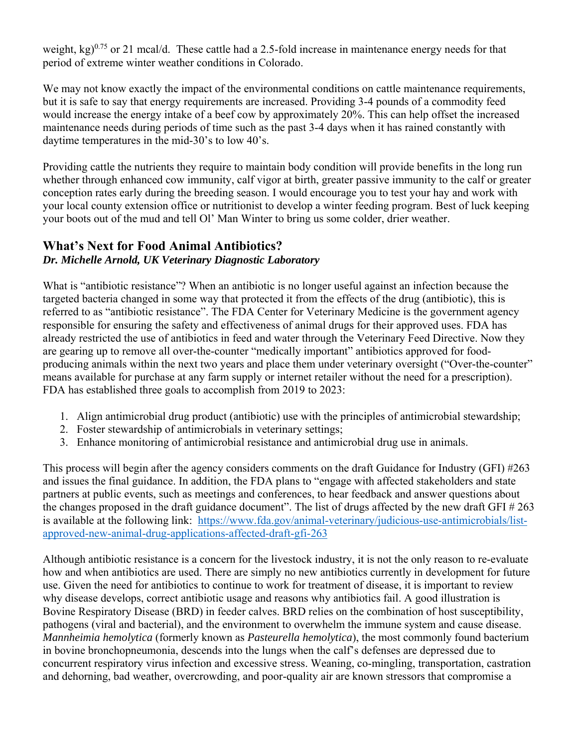weight,  $kg$ )<sup>0.75</sup> or 21 mcal/d. These cattle had a 2.5-fold increase in maintenance energy needs for that period of extreme winter weather conditions in Colorado.

We may not know exactly the impact of the environmental conditions on cattle maintenance requirements, but it is safe to say that energy requirements are increased. Providing 3-4 pounds of a commodity feed would increase the energy intake of a beef cow by approximately 20%. This can help offset the increased maintenance needs during periods of time such as the past 3-4 days when it has rained constantly with daytime temperatures in the mid-30's to low 40's.

Providing cattle the nutrients they require to maintain body condition will provide benefits in the long run whether through enhanced cow immunity, calf vigor at birth, greater passive immunity to the calf or greater conception rates early during the breeding season. I would encourage you to test your hay and work with your local county extension office or nutritionist to develop a winter feeding program. Best of luck keeping your boots out of the mud and tell Ol' Man Winter to bring us some colder, drier weather.

#### **What's Next for Food Animal Antibiotics?**  *Dr. Michelle Arnold, UK Veterinary Diagnostic Laboratory*

What is "antibiotic resistance"? When an antibiotic is no longer useful against an infection because the targeted bacteria changed in some way that protected it from the effects of the drug (antibiotic), this is referred to as "antibiotic resistance". The FDA Center for Veterinary Medicine is the government agency responsible for ensuring the safety and effectiveness of animal drugs for their approved uses. FDA has already restricted the use of antibiotics in feed and water through the Veterinary Feed Directive. Now they are gearing up to remove all over-the-counter "medically important" antibiotics approved for foodproducing animals within the next two years and place them under veterinary oversight ("Over-the-counter" means available for purchase at any farm supply or internet retailer without the need for a prescription). FDA has established three goals to accomplish from 2019 to 2023:

- 1. Align antimicrobial drug product (antibiotic) use with the principles of antimicrobial stewardship;
- 2. Foster stewardship of antimicrobials in veterinary settings;
- 3. Enhance monitoring of antimicrobial resistance and antimicrobial drug use in animals.

This process will begin after the agency considers comments on the draft Guidance for Industry (GFI) #263 and issues the final guidance. In addition, the FDA plans to "engage with affected stakeholders and state partners at public events, such as meetings and conferences, to hear feedback and answer questions about the changes proposed in the draft guidance document". The list of drugs affected by the new draft GFI # 263 is available at the following link: https://www.fda.gov/animal-veterinary/judicious-use-antimicrobials/listapproved-new-animal-drug-applications-affected-draft-gfi-263

Although antibiotic resistance is a concern for the livestock industry, it is not the only reason to re-evaluate how and when antibiotics are used. There are simply no new antibiotics currently in development for future use. Given the need for antibiotics to continue to work for treatment of disease, it is important to review why disease develops, correct antibiotic usage and reasons why antibiotics fail. A good illustration is Bovine Respiratory Disease (BRD) in feeder calves. BRD relies on the combination of host susceptibility, pathogens (viral and bacterial), and the environment to overwhelm the immune system and cause disease. *Mannheimia hemolytica* (formerly known as *Pasteurella hemolytica*), the most commonly found bacterium in bovine bronchopneumonia, descends into the lungs when the calf's defenses are depressed due to concurrent respiratory virus infection and excessive stress. Weaning, co-mingling, transportation, castration and dehorning, bad weather, overcrowding, and poor-quality air are known stressors that compromise a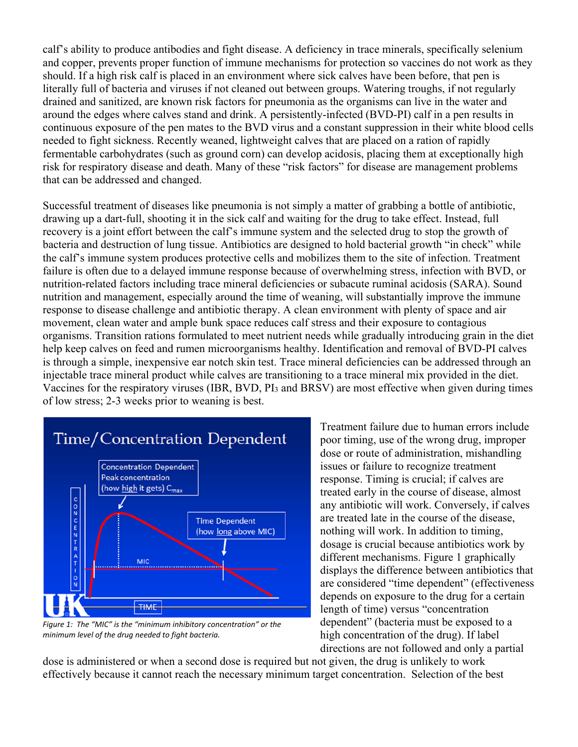calf's ability to produce antibodies and fight disease. A deficiency in trace minerals, specifically selenium and copper, prevents proper function of immune mechanisms for protection so vaccines do not work as they should. If a high risk calf is placed in an environment where sick calves have been before, that pen is literally full of bacteria and viruses if not cleaned out between groups. Watering troughs, if not regularly drained and sanitized, are known risk factors for pneumonia as the organisms can live in the water and around the edges where calves stand and drink. A persistently-infected (BVD-PI) calf in a pen results in continuous exposure of the pen mates to the BVD virus and a constant suppression in their white blood cells needed to fight sickness. Recently weaned, lightweight calves that are placed on a ration of rapidly fermentable carbohydrates (such as ground corn) can develop acidosis, placing them at exceptionally high risk for respiratory disease and death. Many of these "risk factors" for disease are management problems that can be addressed and changed.

Successful treatment of diseases like pneumonia is not simply a matter of grabbing a bottle of antibiotic, drawing up a dart-full, shooting it in the sick calf and waiting for the drug to take effect. Instead, full recovery is a joint effort between the calf's immune system and the selected drug to stop the growth of bacteria and destruction of lung tissue. Antibiotics are designed to hold bacterial growth "in check" while the calf's immune system produces protective cells and mobilizes them to the site of infection. Treatment failure is often due to a delayed immune response because of overwhelming stress, infection with BVD, or nutrition-related factors including trace mineral deficiencies or subacute ruminal acidosis (SARA). Sound nutrition and management, especially around the time of weaning, will substantially improve the immune response to disease challenge and antibiotic therapy. A clean environment with plenty of space and air movement, clean water and ample bunk space reduces calf stress and their exposure to contagious organisms. Transition rations formulated to meet nutrient needs while gradually introducing grain in the diet help keep calves on feed and rumen microorganisms healthy. Identification and removal of BVD-PI calves is through a simple, inexpensive ear notch skin test. Trace mineral deficiencies can be addressed through an injectable trace mineral product while calves are transitioning to a trace mineral mix provided in the diet. Vaccines for the respiratory viruses (IBR, BVD, PI3 and BRSV) are most effective when given during times of low stress; 2-3 weeks prior to weaning is best.



*Figure 1: The "MIC" is the "minimum inhibitory concentration" or the minimum level of the drug needed to fight bacteria.* 

Treatment failure due to human errors include poor timing, use of the wrong drug, improper dose or route of administration, mishandling issues or failure to recognize treatment response. Timing is crucial; if calves are treated early in the course of disease, almost any antibiotic will work. Conversely, if calves are treated late in the course of the disease, nothing will work. In addition to timing, dosage is crucial because antibiotics work by different mechanisms. Figure 1 graphically displays the difference between antibiotics that are considered "time dependent" (effectiveness depends on exposure to the drug for a certain length of time) versus "concentration dependent" (bacteria must be exposed to a high concentration of the drug). If label directions are not followed and only a partial

dose is administered or when a second dose is required but not given, the drug is unlikely to work effectively because it cannot reach the necessary minimum target concentration. Selection of the best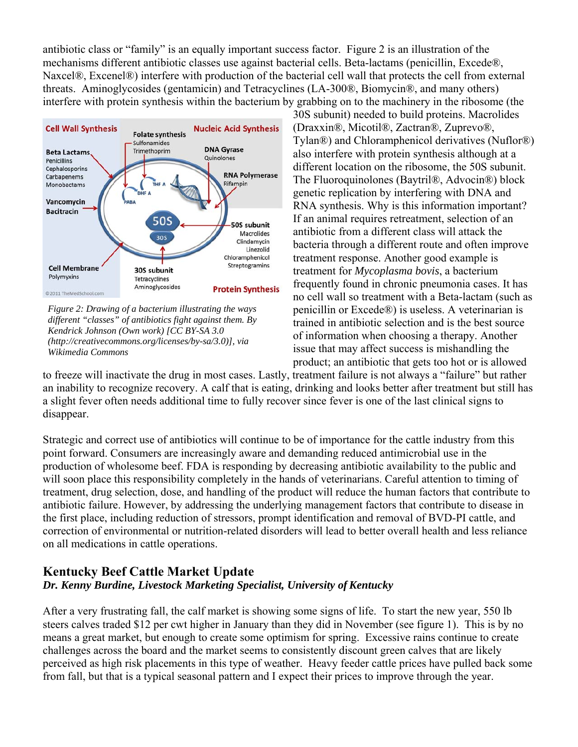antibiotic class or "family" is an equally important success factor. Figure 2 is an illustration of the mechanisms different antibiotic classes use against bacterial cells. Beta-lactams (penicillin, Excede®, Naxcel®, Excenel®) interfere with production of the bacterial cell wall that protects the cell from external threats. Aminoglycosides (gentamicin) and Tetracyclines (LA-300®, Biomycin®, and many others) interfere with protein synthesis within the bacterium by grabbing on to the machinery in the ribosome (the



*Figure 2: Drawing of a bacterium illustrating the ways different "classes" of antibiotics fight against them. By Kendrick Johnson (Own work) [CC BY-SA 3.0 (http://creativecommons.org/licenses/by-sa/3.0)], via Wikimedia Commons* 

30S subunit) needed to build proteins. Macrolides (Draxxin®, Micotil®, Zactran®, Zuprevo®, Tylan®) and Chloramphenicol derivatives (Nuflor®) also interfere with protein synthesis although at a different location on the ribosome, the 50S subunit. The Fluoroquinolones (Baytril®, Advocin®) block genetic replication by interfering with DNA and RNA synthesis. Why is this information important? If an animal requires retreatment, selection of an antibiotic from a different class will attack the bacteria through a different route and often improve treatment response. Another good example is treatment for *Mycoplasma bovis*, a bacterium frequently found in chronic pneumonia cases. It has no cell wall so treatment with a Beta-lactam (such as penicillin or Excede®) is useless. A veterinarian is trained in antibiotic selection and is the best source of information when choosing a therapy. Another issue that may affect success is mishandling the product; an antibiotic that gets too hot or is allowed

to freeze will inactivate the drug in most cases. Lastly, treatment failure is not always a "failure" but rather an inability to recognize recovery. A calf that is eating, drinking and looks better after treatment but still has a slight fever often needs additional time to fully recover since fever is one of the last clinical signs to disappear.

Strategic and correct use of antibiotics will continue to be of importance for the cattle industry from this point forward. Consumers are increasingly aware and demanding reduced antimicrobial use in the production of wholesome beef. FDA is responding by decreasing antibiotic availability to the public and will soon place this responsibility completely in the hands of veterinarians. Careful attention to timing of treatment, drug selection, dose, and handling of the product will reduce the human factors that contribute to antibiotic failure. However, by addressing the underlying management factors that contribute to disease in the first place, including reduction of stressors, prompt identification and removal of BVD-PI cattle, and correction of environmental or nutrition-related disorders will lead to better overall health and less reliance on all medications in cattle operations.

## **Kentucky Beef Cattle Market Update** *Dr. Kenny Burdine, Livestock Marketing Specialist, University of Kentucky*

After a very frustrating fall, the calf market is showing some signs of life. To start the new year, 550 lb steers calves traded \$12 per cwt higher in January than they did in November (see figure 1). This is by no means a great market, but enough to create some optimism for spring. Excessive rains continue to create challenges across the board and the market seems to consistently discount green calves that are likely perceived as high risk placements in this type of weather. Heavy feeder cattle prices have pulled back some from fall, but that is a typical seasonal pattern and I expect their prices to improve through the year.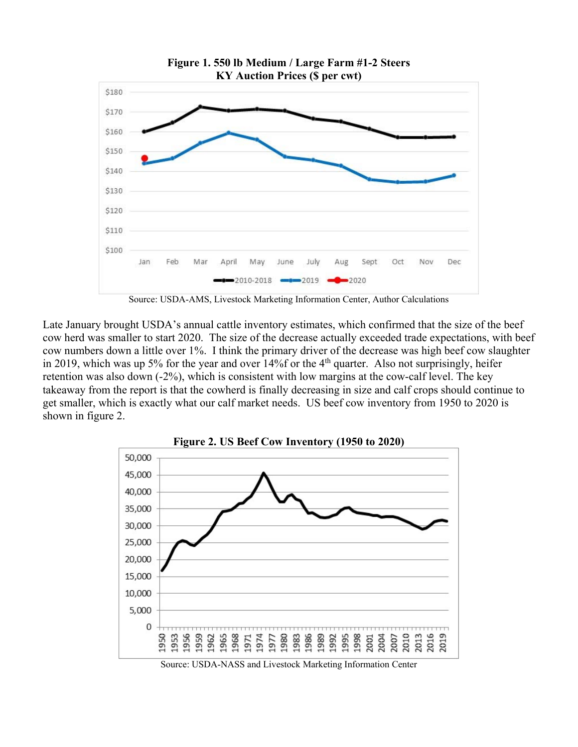

**Figure 1. 550 lb Medium / Large Farm #1-2 Steers** 

Source: USDA-AMS, Livestock Marketing Information Center, Author Calculations

Late January brought USDA's annual cattle inventory estimates, which confirmed that the size of the beef cow herd was smaller to start 2020. The size of the decrease actually exceeded trade expectations, with beef cow numbers down a little over 1%. I think the primary driver of the decrease was high beef cow slaughter in 2019, which was up 5% for the year and over  $14\%$  for the 4<sup>th</sup> quarter. Also not surprisingly, heifer retention was also down (-2%), which is consistent with low margins at the cow-calf level. The key takeaway from the report is that the cowherd is finally decreasing in size and calf crops should continue to get smaller, which is exactly what our calf market needs. US beef cow inventory from 1950 to 2020 is shown in figure 2.



Source: USDA-NASS and Livestock Marketing Information Center